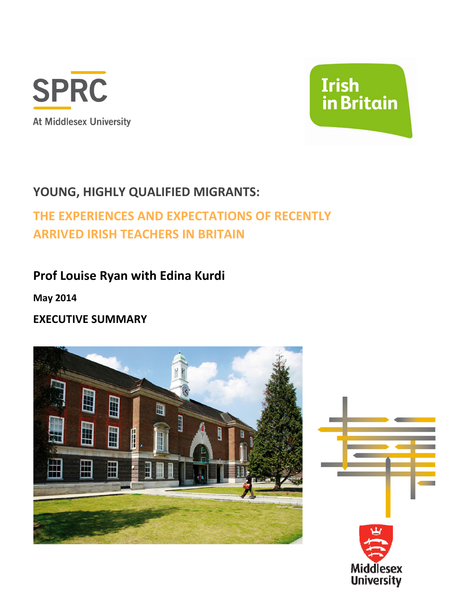



## YOUNG, HIGHLY QUALIFIED MIGRANTS:

# THE EXPERIENCES AND EXPECTATIONS OF RECENTLY ARRIVED IRISH TEACHERS IN BRITAIN

## Prof Louise Ryan with Edina Kurdi

May 2014

EXECUTIVE SUMMARY



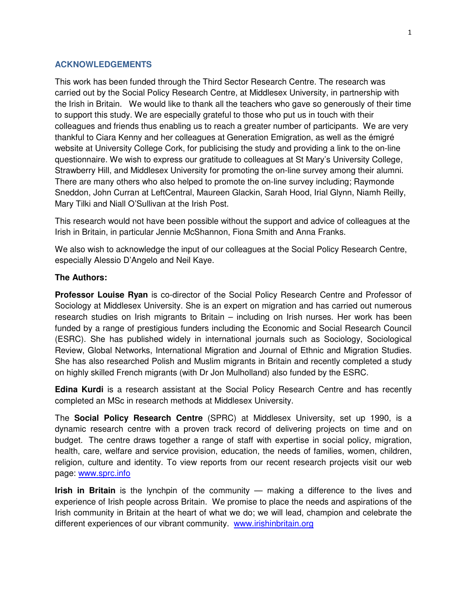#### **ACKNOWLEDGEMENTS**

This work has been funded through the Third Sector Research Centre. The research was carried out by the Social Policy Research Centre, at Middlesex University, in partnership with the Irish in Britain. We would like to thank all the teachers who gave so generously of their time to support this study. We are especially grateful to those who put us in touch with their colleagues and friends thus enabling us to reach a greater number of participants. We are very thankful to Ciara Kenny and her colleagues at Generation Emigration, as well as the émigré website at University College Cork, for publicising the study and providing a link to the on-line questionnaire. We wish to express our gratitude to colleagues at St Mary's University College, Strawberry Hill, and Middlesex University for promoting the on-line survey among their alumni. There are many others who also helped to promote the on-line survey including; Raymonde Sneddon, John Curran at LeftCentral, Maureen Glackin, Sarah Hood, Irial Glynn, Niamh Reilly, Mary Tilki and Niall O'Sullivan at the Irish Post.

This research would not have been possible without the support and advice of colleagues at the Irish in Britain, in particular Jennie McShannon, Fiona Smith and Anna Franks.

We also wish to acknowledge the input of our colleagues at the Social Policy Research Centre, especially Alessio D'Angelo and Neil Kaye.

#### **The Authors:**

**Professor Louise Ryan** is co-director of the Social Policy Research Centre and Professor of Sociology at Middlesex University. She is an expert on migration and has carried out numerous research studies on Irish migrants to Britain – including on Irish nurses. Her work has been funded by a range of prestigious funders including the Economic and Social Research Council (ESRC). She has published widely in international journals such as Sociology, Sociological Review, Global Networks, International Migration and Journal of Ethnic and Migration Studies. She has also researched Polish and Muslim migrants in Britain and recently completed a study on highly skilled French migrants (with Dr Jon Mulholland) also funded by the ESRC.

**Edina Kurdi** is a research assistant at the Social Policy Research Centre and has recently completed an MSc in research methods at Middlesex University.

The **Social Policy Research Centre** (SPRC) at Middlesex University, set up 1990, is a dynamic research centre with a proven track record of delivering projects on time and on budget. The centre draws together a range of staff with expertise in social policy, migration, health, care, welfare and service provision, education, the needs of families, women, children, religion, culture and identity. To view reports from our recent research projects visit our web page: www.sprc.info

**Irish in Britain** is the lynchpin of the community — making a difference to the lives and experience of Irish people across Britain. We promise to place the needs and aspirations of the Irish community in Britain at the heart of what we do; we will lead, champion and celebrate the different experiences of our vibrant community. www.irishinbritain.org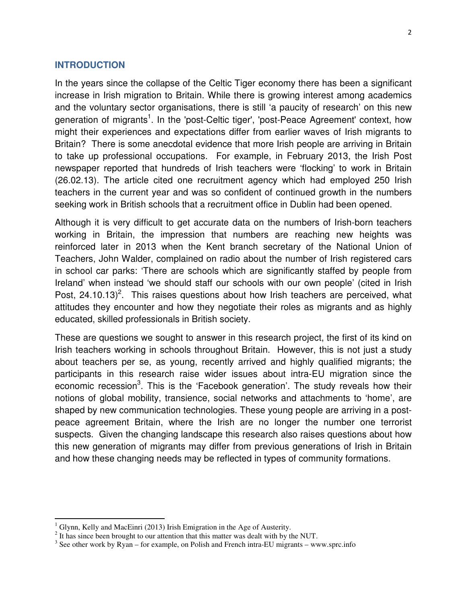#### **INTRODUCTION**

In the years since the collapse of the Celtic Tiger economy there has been a significant increase in Irish migration to Britain. While there is growing interest among academics and the voluntary sector organisations, there is still 'a paucity of research' on this new generation of migrants<sup>1</sup>. In the 'post-Celtic tiger', 'post-Peace Agreement' context, how might their experiences and expectations differ from earlier waves of Irish migrants to Britain? There is some anecdotal evidence that more Irish people are arriving in Britain to take up professional occupations. For example, in February 2013, the Irish Post newspaper reported that hundreds of Irish teachers were 'flocking' to work in Britain (26.02.13). The article cited one recruitment agency which had employed 250 Irish teachers in the current year and was so confident of continued growth in the numbers seeking work in British schools that a recruitment office in Dublin had been opened.

Although it is very difficult to get accurate data on the numbers of Irish-born teachers working in Britain, the impression that numbers are reaching new heights was reinforced later in 2013 when the Kent branch secretary of the National Union of Teachers, John Walder, complained on radio about the number of Irish registered cars in school car parks: 'There are schools which are significantly staffed by people from Ireland' when instead 'we should staff our schools with our own people' (cited in Irish Post,  $24.10.13$ <sup>2</sup>. This raises questions about how Irish teachers are perceived, what attitudes they encounter and how they negotiate their roles as migrants and as highly educated, skilled professionals in British society.

These are questions we sought to answer in this research project, the first of its kind on Irish teachers working in schools throughout Britain. However, this is not just a study about teachers per se, as young, recently arrived and highly qualified migrants; the participants in this research raise wider issues about intra-EU migration since the economic recession<sup>3</sup>. This is the 'Facebook generation'. The study reveals how their notions of global mobility, transience, social networks and attachments to 'home', are shaped by new communication technologies. These young people are arriving in a postpeace agreement Britain, where the Irish are no longer the number one terrorist suspects. Given the changing landscape this research also raises questions about how this new generation of migrants may differ from previous generations of Irish in Britain and how these changing needs may be reflected in types of community formations.

l

 $1$  Glynn, Kelly and MacEinri (2013) Irish Emigration in the Age of Austerity.

 $2$  It has since been brought to our attention that this matter was dealt with by the NUT.

 $3$  See other work by Ryan – for example, on Polish and French intra-EU migrants – www.sprc.info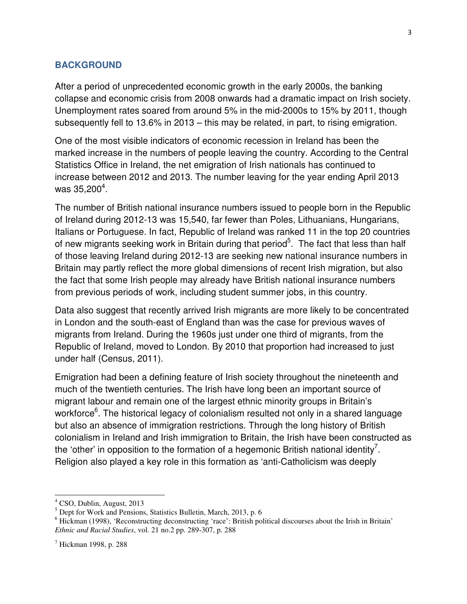### **BACKGROUND**

After a period of unprecedented economic growth in the early 2000s, the banking collapse and economic crisis from 2008 onwards had a dramatic impact on Irish society. Unemployment rates soared from around 5% in the mid-2000s to 15% by 2011, though subsequently fell to 13.6% in 2013 – this may be related, in part, to rising emigration.

One of the most visible indicators of economic recession in Ireland has been the marked increase in the numbers of people leaving the country. According to the Central Statistics Office in Ireland, the net emigration of Irish nationals has continued to increase between 2012 and 2013. The number leaving for the year ending April 2013 was 35,200 $^{4}$ .

The number of British national insurance numbers issued to people born in the Republic of Ireland during 2012-13 was 15,540, far fewer than Poles, Lithuanians, Hungarians, Italians or Portuguese. In fact, Republic of Ireland was ranked 11 in the top 20 countries of new migrants seeking work in Britain during that period<sup>5</sup>. The fact that less than half of those leaving Ireland during 2012-13 are seeking new national insurance numbers in Britain may partly reflect the more global dimensions of recent Irish migration, but also the fact that some Irish people may already have British national insurance numbers from previous periods of work, including student summer jobs, in this country.

Data also suggest that recently arrived Irish migrants are more likely to be concentrated in London and the south-east of England than was the case for previous waves of migrants from Ireland. During the 1960s just under one third of migrants, from the Republic of Ireland, moved to London. By 2010 that proportion had increased to just under half (Census, 2011).

Emigration had been a defining feature of Irish society throughout the nineteenth and much of the twentieth centuries. The Irish have long been an important source of migrant labour and remain one of the largest ethnic minority groups in Britain's workforce<sup>6</sup>. The historical legacy of colonialism resulted not only in a shared language but also an absence of immigration restrictions. Through the long history of British colonialism in Ireland and Irish immigration to Britain, the Irish have been constructed as the 'other' in opposition to the formation of a hegemonic British national identity<sup>7</sup>. Religion also played a key role in this formation as 'anti-Catholicism was deeply

 $\overline{a}$ 

<sup>4</sup> CSO, Dublin, August, 2013

<sup>&</sup>lt;sup>5</sup> Dept for Work and Pensions, Statistics Bulletin, March, 2013, p. 6

<sup>&</sup>lt;sup>6</sup> Hickman (1998), 'Reconstructing deconstructing 'race': British political discourses about the Irish in Britain' *Ethnic and Racial Studies*, vol. 21 no.2 pp. 289-307, p. 288

<sup>7</sup> Hickman 1998, p. 288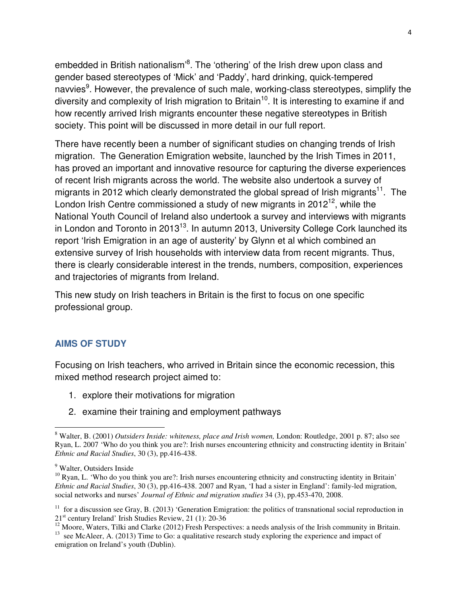embedded in British nationalism<sup>3</sup>. The 'othering' of the Irish drew upon class and gender based stereotypes of 'Mick' and 'Paddy', hard drinking, quick-tempered navvies<sup>9</sup>. However, the prevalence of such male, working-class stereotypes, simplify the diversity and complexity of Irish migration to Britain<sup>10</sup>. It is interesting to examine if and how recently arrived Irish migrants encounter these negative stereotypes in British society. This point will be discussed in more detail in our full report.

There have recently been a number of significant studies on changing trends of Irish migration. The Generation Emigration website, launched by the Irish Times in 2011, has proved an important and innovative resource for capturing the diverse experiences of recent Irish migrants across the world. The website also undertook a survey of migrants in 2012 which clearly demonstrated the global spread of Irish migrants<sup>11</sup>. The London Irish Centre commissioned a study of new migrants in  $2012^{12}$ , while the National Youth Council of Ireland also undertook a survey and interviews with migrants in London and Toronto in  $2013^{13}$ . In autumn 2013, University College Cork launched its report 'Irish Emigration in an age of austerity' by Glynn et al which combined an extensive survey of Irish households with interview data from recent migrants. Thus, there is clearly considerable interest in the trends, numbers, composition, experiences and trajectories of migrants from Ireland.

This new study on Irish teachers in Britain is the first to focus on one specific professional group.

### **AIMS OF STUDY**

Focusing on Irish teachers, who arrived in Britain since the economic recession, this mixed method research project aimed to:

- 1. explore their motivations for migration
- 2. examine their training and employment pathways

 $\overline{a}$ 

<sup>8</sup> Walter, B. (2001) *Outsiders Inside: whiteness, place and Irish women,* London: Routledge, 2001 p. 87; also see Ryan, L. 2007 'Who do you think you are?: Irish nurses encountering ethnicity and constructing identity in Britain' *Ethnic and Racial Studies*, 30 (3), pp.416-438.

<sup>&</sup>lt;sup>9</sup> Walter, Outsiders Inside

 $10$  Ryan, L. 'Who do you think you are?: Irish nurses encountering ethnicity and constructing identity in Britain' *Ethnic and Racial Studies*, 30 (3), pp.416-438. 2007 and Ryan, 'I had a sister in England': family-led migration, social networks and nurses' *Journal of Ethnic and migration studies* 34 (3), pp.453-470, 2008.

<sup>&</sup>lt;sup>11</sup> for a discussion see Gray, B. (2013) 'Generation Emigration: the politics of transnational social reproduction in 21<sup>st</sup> century Ireland' Irish Studies Review, 21 (1): 20-36

 $12$  Moore, Waters, Tilki and Clarke (2012) Fresh Perspectives: a needs analysis of the Irish community in Britain. <sup>13</sup> see McAleer, A. (2013) Time to Go: a qualitative research study exploring the experience and impact of emigration on Ireland's youth (Dublin).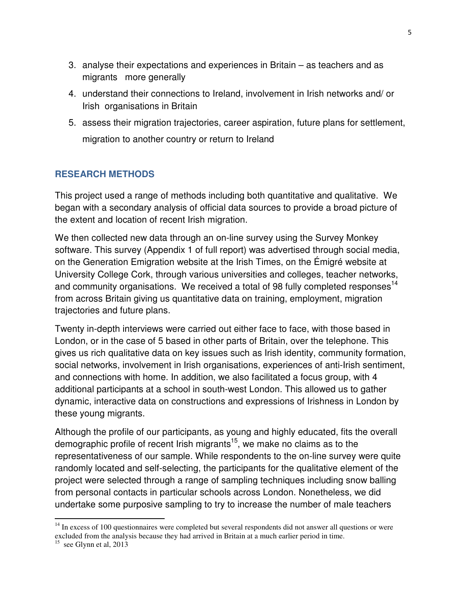- 3. analyse their expectations and experiences in Britain as teachers and as migrants more generally
- 4. understand their connections to Ireland, involvement in Irish networks and/ or Irish organisations in Britain
- 5. assess their migration trajectories, career aspiration, future plans for settlement, migration to another country or return to Ireland

## **RESEARCH METHODS**

This project used a range of methods including both quantitative and qualitative. We began with a secondary analysis of official data sources to provide a broad picture of the extent and location of recent Irish migration.

We then collected new data through an on-line survey using the Survey Monkey software. This survey (Appendix 1 of full report) was advertised through social media, on the Generation Emigration website at the Irish Times, on the Émigré website at University College Cork, through various universities and colleges, teacher networks, and community organisations. We received a total of 98 fully completed responses<sup>14</sup> from across Britain giving us quantitative data on training, employment, migration trajectories and future plans.

Twenty in-depth interviews were carried out either face to face, with those based in London, or in the case of 5 based in other parts of Britain, over the telephone. This gives us rich qualitative data on key issues such as Irish identity, community formation, social networks, involvement in Irish organisations, experiences of anti-Irish sentiment, and connections with home. In addition, we also facilitated a focus group, with 4 additional participants at a school in south-west London. This allowed us to gather dynamic, interactive data on constructions and expressions of Irishness in London by these young migrants.

Although the profile of our participants, as young and highly educated, fits the overall demographic profile of recent Irish migrants<sup>15</sup>, we make no claims as to the representativeness of our sample. While respondents to the on-line survey were quite randomly located and self-selecting, the participants for the qualitative element of the project were selected through a range of sampling techniques including snow balling from personal contacts in particular schools across London. Nonetheless, we did undertake some purposive sampling to try to increase the number of male teachers

l

<sup>&</sup>lt;sup>14</sup> In excess of 100 questionnaires were completed but several respondents did not answer all questions or were excluded from the analysis because they had arrived in Britain at a much earlier period in time.

 $15$  see Glynn et al, 2013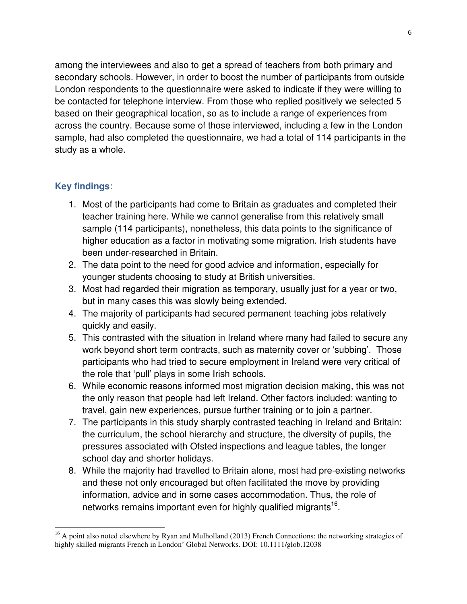among the interviewees and also to get a spread of teachers from both primary and secondary schools. However, in order to boost the number of participants from outside London respondents to the questionnaire were asked to indicate if they were willing to be contacted for telephone interview. From those who replied positively we selected 5 based on their geographical location, so as to include a range of experiences from across the country. Because some of those interviewed, including a few in the London sample, had also completed the questionnaire, we had a total of 114 participants in the study as a whole.

## **Key findings**:

 $\overline{a}$ 

- 1. Most of the participants had come to Britain as graduates and completed their teacher training here. While we cannot generalise from this relatively small sample (114 participants), nonetheless, this data points to the significance of higher education as a factor in motivating some migration. Irish students have been under-researched in Britain.
- 2. The data point to the need for good advice and information, especially for younger students choosing to study at British universities.
- 3. Most had regarded their migration as temporary, usually just for a year or two, but in many cases this was slowly being extended.
- 4. The majority of participants had secured permanent teaching jobs relatively quickly and easily.
- 5. This contrasted with the situation in Ireland where many had failed to secure any work beyond short term contracts, such as maternity cover or 'subbing'. Those participants who had tried to secure employment in Ireland were very critical of the role that 'pull' plays in some Irish schools.
- 6. While economic reasons informed most migration decision making, this was not the only reason that people had left Ireland. Other factors included: wanting to travel, gain new experiences, pursue further training or to join a partner.
- 7. The participants in this study sharply contrasted teaching in Ireland and Britain: the curriculum, the school hierarchy and structure, the diversity of pupils, the pressures associated with Ofsted inspections and league tables, the longer school day and shorter holidays.
- 8. While the majority had travelled to Britain alone, most had pre-existing networks and these not only encouraged but often facilitated the move by providing information, advice and in some cases accommodation. Thus, the role of networks remains important even for highly qualified migrants<sup>16</sup>.

<sup>&</sup>lt;sup>16</sup> A point also noted elsewhere by Ryan and Mulholland (2013) French Connections: the networking strategies of highly skilled migrants French in London' Global Networks. DOI: 10.1111/glob.12038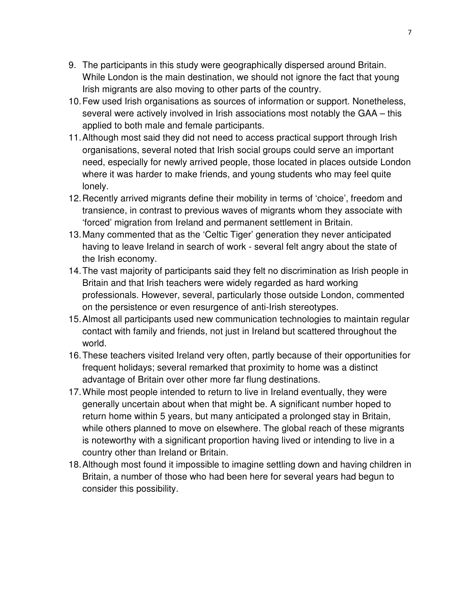- 9. The participants in this study were geographically dispersed around Britain. While London is the main destination, we should not ignore the fact that young Irish migrants are also moving to other parts of the country.
- 10. Few used Irish organisations as sources of information or support. Nonetheless, several were actively involved in Irish associations most notably the GAA – this applied to both male and female participants.
- 11. Although most said they did not need to access practical support through Irish organisations, several noted that Irish social groups could serve an important need, especially for newly arrived people, those located in places outside London where it was harder to make friends, and young students who may feel quite lonely.
- 12. Recently arrived migrants define their mobility in terms of 'choice', freedom and transience, in contrast to previous waves of migrants whom they associate with 'forced' migration from Ireland and permanent settlement in Britain.
- 13. Many commented that as the 'Celtic Tiger' generation they never anticipated having to leave Ireland in search of work - several felt angry about the state of the Irish economy.
- 14. The vast majority of participants said they felt no discrimination as Irish people in Britain and that Irish teachers were widely regarded as hard working professionals. However, several, particularly those outside London, commented on the persistence or even resurgence of anti-Irish stereotypes.
- 15. Almost all participants used new communication technologies to maintain regular contact with family and friends, not just in Ireland but scattered throughout the world.
- 16. These teachers visited Ireland very often, partly because of their opportunities for frequent holidays; several remarked that proximity to home was a distinct advantage of Britain over other more far flung destinations.
- 17. While most people intended to return to live in Ireland eventually, they were generally uncertain about when that might be. A significant number hoped to return home within 5 years, but many anticipated a prolonged stay in Britain, while others planned to move on elsewhere. The global reach of these migrants is noteworthy with a significant proportion having lived or intending to live in a country other than Ireland or Britain.
- 18. Although most found it impossible to imagine settling down and having children in Britain, a number of those who had been here for several years had begun to consider this possibility.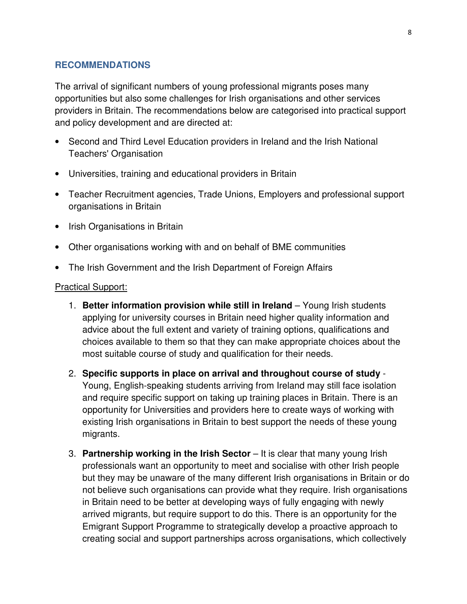#### **RECOMMENDATIONS**

The arrival of significant numbers of young professional migrants poses many opportunities but also some challenges for Irish organisations and other services providers in Britain. The recommendations below are categorised into practical support and policy development and are directed at:

- Second and Third Level Education providers in Ireland and the Irish National Teachers' Organisation
- Universities, training and educational providers in Britain
- Teacher Recruitment agencies, Trade Unions, Employers and professional support organisations in Britain
- Irish Organisations in Britain
- Other organisations working with and on behalf of BME communities
- The Irish Government and the Irish Department of Foreign Affairs

#### Practical Support:

- 1. **Better information provision while still in Ireland** Young Irish students applying for university courses in Britain need higher quality information and advice about the full extent and variety of training options, qualifications and choices available to them so that they can make appropriate choices about the most suitable course of study and qualification for their needs.
- 2. **Specific supports in place on arrival and throughout course of study**  Young, English-speaking students arriving from Ireland may still face isolation and require specific support on taking up training places in Britain. There is an opportunity for Universities and providers here to create ways of working with existing Irish organisations in Britain to best support the needs of these young migrants.
- 3. **Partnership working in the Irish Sector** It is clear that many young Irish professionals want an opportunity to meet and socialise with other Irish people but they may be unaware of the many different Irish organisations in Britain or do not believe such organisations can provide what they require. Irish organisations in Britain need to be better at developing ways of fully engaging with newly arrived migrants, but require support to do this. There is an opportunity for the Emigrant Support Programme to strategically develop a proactive approach to creating social and support partnerships across organisations, which collectively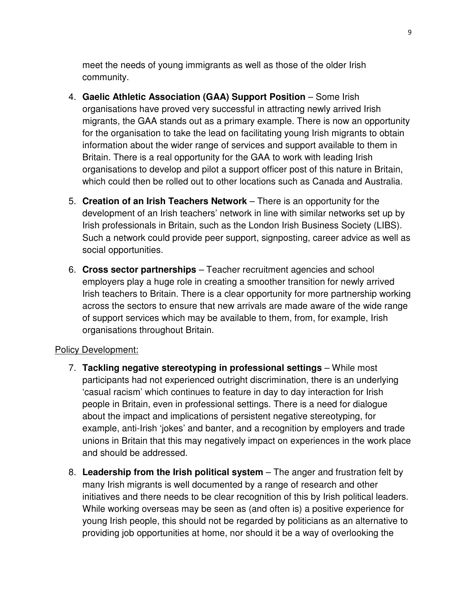meet the needs of young immigrants as well as those of the older Irish community.

- 4. **Gaelic Athletic Association (GAA) Support Position** Some Irish organisations have proved very successful in attracting newly arrived Irish migrants, the GAA stands out as a primary example. There is now an opportunity for the organisation to take the lead on facilitating young Irish migrants to obtain information about the wider range of services and support available to them in Britain. There is a real opportunity for the GAA to work with leading Irish organisations to develop and pilot a support officer post of this nature in Britain, which could then be rolled out to other locations such as Canada and Australia.
- 5. **Creation of an Irish Teachers Network** There is an opportunity for the development of an Irish teachers' network in line with similar networks set up by Irish professionals in Britain, such as the London Irish Business Society (LIBS). Such a network could provide peer support, signposting, career advice as well as social opportunities.
- 6. **Cross sector partnerships** Teacher recruitment agencies and school employers play a huge role in creating a smoother transition for newly arrived Irish teachers to Britain. There is a clear opportunity for more partnership working across the sectors to ensure that new arrivals are made aware of the wide range of support services which may be available to them, from, for example, Irish organisations throughout Britain.

### Policy Development:

- 7. **Tackling negative stereotyping in professional settings**  While most participants had not experienced outright discrimination, there is an underlying 'casual racism' which continues to feature in day to day interaction for Irish people in Britain, even in professional settings. There is a need for dialogue about the impact and implications of persistent negative stereotyping, for example, anti-Irish 'jokes' and banter, and a recognition by employers and trade unions in Britain that this may negatively impact on experiences in the work place and should be addressed.
- 8. Leadership from the Irish political system The anger and frustration felt by many Irish migrants is well documented by a range of research and other initiatives and there needs to be clear recognition of this by Irish political leaders. While working overseas may be seen as (and often is) a positive experience for young Irish people, this should not be regarded by politicians as an alternative to providing job opportunities at home, nor should it be a way of overlooking the